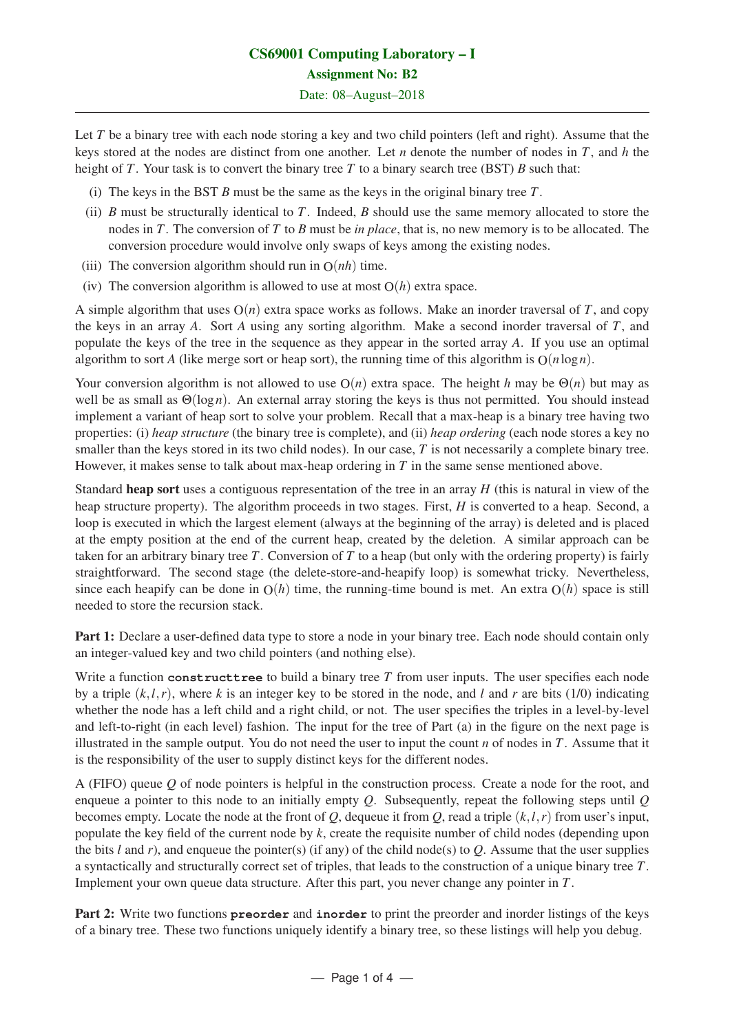Let *T* be a binary tree with each node storing a key and two child pointers (left and right). Assume that the keys stored at the nodes are distinct from one another. Let *n* denote the number of nodes in *T*, and *h* the height of *T*. Your task is to convert the binary tree *T* to a binary search tree (BST) *B* such that:

- (i) The keys in the BST *B* must be the same as the keys in the original binary tree *T*.
- (ii) *B* must be structurally identical to *T*. Indeed, *B* should use the same memory allocated to store the nodes in *T*. The conversion of *T* to *B* must be *in place*, that is, no new memory is to be allocated. The conversion procedure would involve only swaps of keys among the existing nodes.
- (iii) The conversion algorithm should run in  $O(nh)$  time.
- (iv) The conversion algorithm is allowed to use at most  $O(h)$  extra space.

A simple algorithm that uses  $O(n)$  extra space works as follows. Make an inorder traversal of *T*, and copy the keys in an array *A*. Sort *A* using any sorting algorithm. Make a second inorder traversal of *T*, and populate the keys of the tree in the sequence as they appear in the sorted array *A*. If you use an optimal algorithm to sort *A* (like merge sort or heap sort), the running time of this algorithm is  $O(n \log n)$ .

Your conversion algorithm is not allowed to use O(*n*) extra space. The height *h* may be Θ(*n*) but may as well be as small as Θ(log*n*). An external array storing the keys is thus not permitted. You should instead implement a variant of heap sort to solve your problem. Recall that a max-heap is a binary tree having two properties: (i) *heap structure* (the binary tree is complete), and (ii) *heap ordering* (each node stores a key no smaller than the keys stored in its two child nodes). In our case, *T* is not necessarily a complete binary tree. However, it makes sense to talk about max-heap ordering in  $T$  in the same sense mentioned above.

Standard heap sort uses a contiguous representation of the tree in an array *H* (this is natural in view of the heap structure property). The algorithm proceeds in two stages. First, *H* is converted to a heap. Second, a loop is executed in which the largest element (always at the beginning of the array) is deleted and is placed at the empty position at the end of the current heap, created by the deletion. A similar approach can be taken for an arbitrary binary tree *T*. Conversion of *T* to a heap (but only with the ordering property) is fairly straightforward. The second stage (the delete-store-and-heapify loop) is somewhat tricky. Nevertheless, since each heapify can be done in  $O(h)$  time, the running-time bound is met. An extra  $O(h)$  space is still needed to store the recursion stack.

Part 1: Declare a user-defined data type to store a node in your binary tree. Each node should contain only an integer-valued key and two child pointers (and nothing else).

Write a function **constructtree** to build a binary tree *T* from user inputs. The user specifies each node by a triple  $(k, l, r)$ , where k is an integer key to be stored in the node, and l and r are bits (1/0) indicating whether the node has a left child and a right child, or not. The user specifies the triples in a level-by-level and left-to-right (in each level) fashion. The input for the tree of Part (a) in the figure on the next page is illustrated in the sample output. You do not need the user to input the count  $n$  of nodes in  $T$ . Assume that it is the responsibility of the user to supply distinct keys for the different nodes.

A (FIFO) queue *Q* of node pointers is helpful in the construction process. Create a node for the root, and enqueue a pointer to this node to an initially empty *Q*. Subsequently, repeat the following steps until *Q* becomes empty. Locate the node at the front of  $Q$ , dequeue it from  $Q$ , read a triple  $(k, l, r)$  from user's input, populate the key field of the current node by *k*, create the requisite number of child nodes (depending upon the bits  $l$  and  $r$ ), and enqueue the pointer(s) (if any) of the child node(s) to  $Q$ . Assume that the user supplies a syntactically and structurally correct set of triples, that leads to the construction of a unique binary tree *T*. Implement your own queue data structure. After this part, you never change any pointer in *T*.

Part 2: Write two functions **preorder** and **inorder** to print the preorder and inorder listings of the keys of a binary tree. These two functions uniquely identify a binary tree, so these listings will help you debug.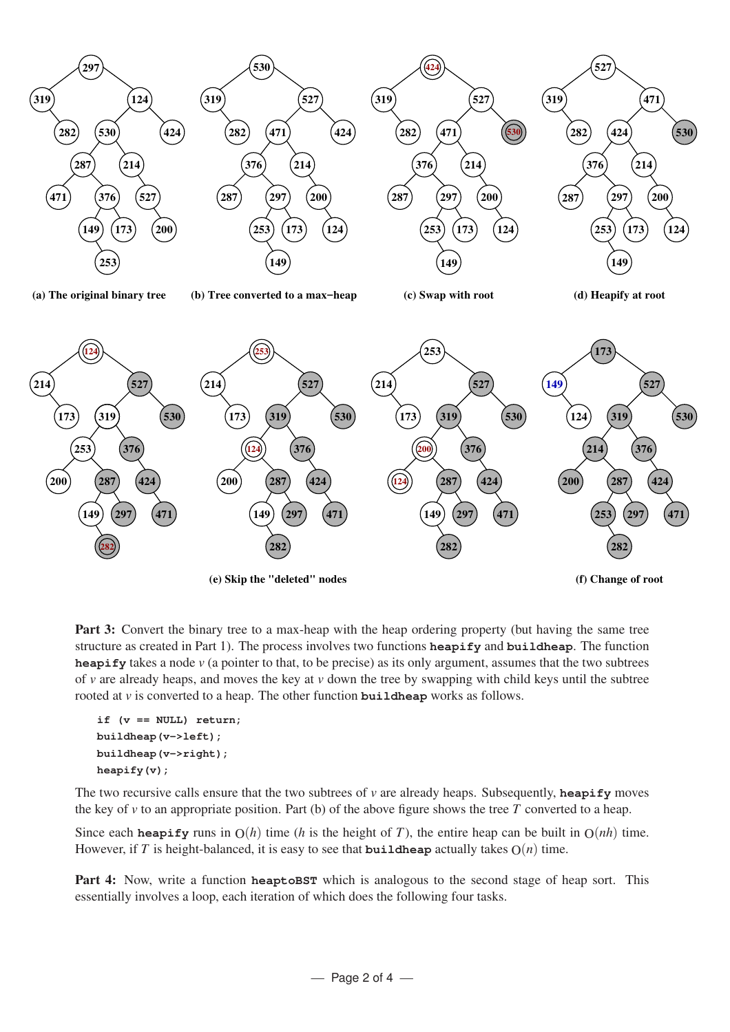

Part 3: Convert the binary tree to a max-heap with the heap ordering property (but having the same tree structure as created in Part 1). The process involves two functions **heapify** and **buildheap**. The function **heapify** takes a node *v* (a pointer to that, to be precise) as its only argument, assumes that the two subtrees of *v* are already heaps, and moves the key at *v* down the tree by swapping with child keys until the subtree rooted at *v* is converted to a heap. The other function **buildheap** works as follows.

```
if (v == NULL) return;
buildheap(v->left);
buildheap(v->right);
heapify(v);
```
The two recursive calls ensure that the two subtrees of  $\nu$  are already heaps. Subsequently, **heapify** moves the key of *v* to an appropriate position. Part (b) of the above figure shows the tree *T* converted to a heap.

Since each **heapify** runs in  $O(h)$  time (*h* is the height of *T*), the entire heap can be built in  $O(nh)$  time. However, if *T* is height-balanced, it is easy to see that **buildheap** actually takes  $O(n)$  time.

Part 4: Now, write a function **heaptoBST** which is analogous to the second stage of heap sort. This essentially involves a loop, each iteration of which does the following four tasks.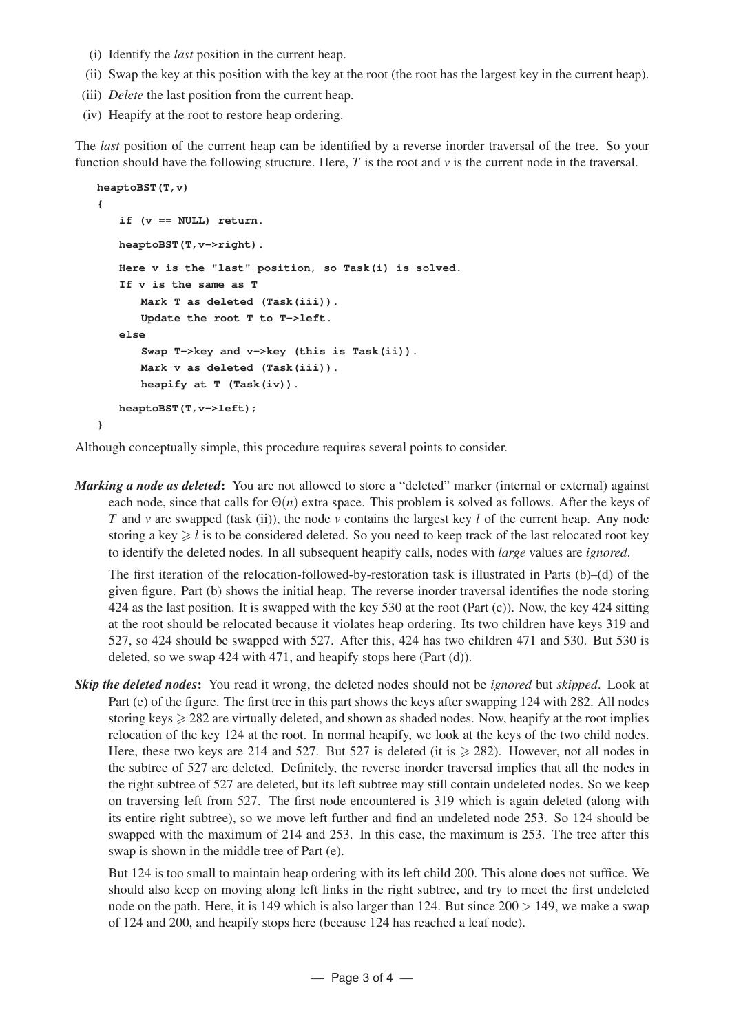- (i) Identify the *last* position in the current heap.
- (ii) Swap the key at this position with the key at the root (the root has the largest key in the current heap).
- (iii) *Delete* the last position from the current heap.
- (iv) Heapify at the root to restore heap ordering.

The *last* position of the current heap can be identified by a reverse inorder traversal of the tree. So your function should have the following structure. Here,  $T$  is the root and  $\nu$  is the current node in the traversal.

```
heaptoBST(T,v)
{
   if (v == NULL) return.
   heaptoBST(T,v->right).
   Here v is the "last" position, so Task(i) is solved.
   If v is the same as T
      Mark T as deleted (Task(iii)).
      Update the root T to T->left.
   else
       Swap T->key and v->key (this is Task(ii)).
      Mark v as deleted (Task(iii)).
      heapify at T (Task(iv)).
   heaptoBST(T,v->left);
}
```
Although conceptually simple, this procedure requires several points to consider.

*Marking a node as deleted*: You are not allowed to store a "deleted" marker (internal or external) against each node, since that calls for  $\Theta(n)$  extra space. This problem is solved as follows. After the keys of *T* and *v* are swapped (task (ii)), the node *v* contains the largest key *l* of the current heap. Any node storing a key  $\geq l$  is to be considered deleted. So you need to keep track of the last relocated root key to identify the deleted nodes. In all subsequent heapify calls, nodes with *large* values are *ignored*.

The first iteration of the relocation-followed-by-restoration task is illustrated in Parts (b)–(d) of the given figure. Part (b) shows the initial heap. The reverse inorder traversal identifies the node storing 424 as the last position. It is swapped with the key 530 at the root (Part (c)). Now, the key 424 sitting at the root should be relocated because it violates heap ordering. Its two children have keys 319 and 527, so 424 should be swapped with 527. After this, 424 has two children 471 and 530. But 530 is deleted, so we swap 424 with 471, and heapify stops here (Part (d)).

*Skip the deleted nodes*: You read it wrong, the deleted nodes should not be *ignored* but *skipped*. Look at Part (e) of the figure. The first tree in this part shows the keys after swapping 124 with 282. All nodes storing keys  $\geq 282$  are virtually deleted, and shown as shaded nodes. Now, heapify at the root implies relocation of the key 124 at the root. In normal heapify, we look at the keys of the two child nodes. Here, these two keys are 214 and 527. But 527 is deleted (it is  $\geq$  282). However, not all nodes in the subtree of 527 are deleted. Definitely, the reverse inorder traversal implies that all the nodes in the right subtree of 527 are deleted, but its left subtree may still contain undeleted nodes. So we keep on traversing left from 527. The first node encountered is 319 which is again deleted (along with its entire right subtree), so we move left further and find an undeleted node 253. So 124 should be swapped with the maximum of 214 and 253. In this case, the maximum is 253. The tree after this swap is shown in the middle tree of Part (e).

But 124 is too small to maintain heap ordering with its left child 200. This alone does not suffice. We should also keep on moving along left links in the right subtree, and try to meet the first undeleted node on the path. Here, it is 149 which is also larger than 124. But since  $200 > 149$ , we make a swap of 124 and 200, and heapify stops here (because 124 has reached a leaf node).